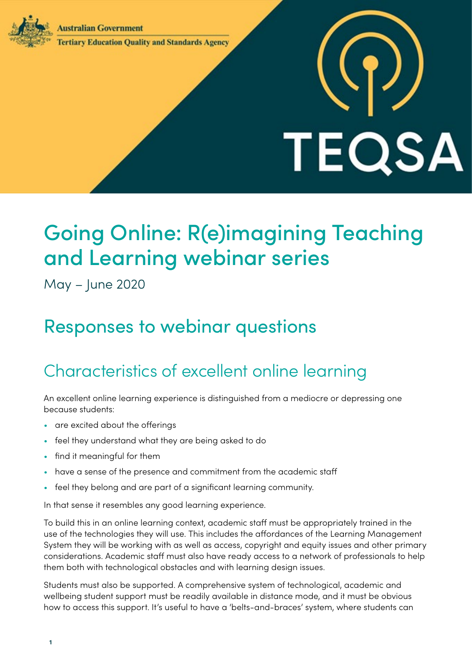**Australian Government** 



## **Tertiary Education Quality and Standards Agency**

## Going Online: R(e)imagining Teaching and Learning webinar series

TEQSA

May – June 2020

## Responses to webinar questions

## Characteristics of excellent online learning

An excellent online learning experience is distinguished from a mediocre or depressing one because students:

- are excited about the offerings
- feel they understand what they are being asked to do
- find it meaningful for them
- have a sense of the presence and commitment from the academic staff
- feel they belong and are part of a significant learning community.

In that sense it resembles any good learning experience.

To build this in an online learning context, academic staff must be appropriately trained in the use of the technologies they will use. This includes the affordances of the Learning Management System they will be working with as well as access, copyright and equity issues and other primary considerations. Academic staff must also have ready access to a network of professionals to help them both with technological obstacles and with learning design issues.

Students must also be supported. A comprehensive system of technological, academic and wellbeing student support must be readily available in distance mode, and it must be obvious how to access this support. It's useful to have a 'belts-and-braces' system, where students can